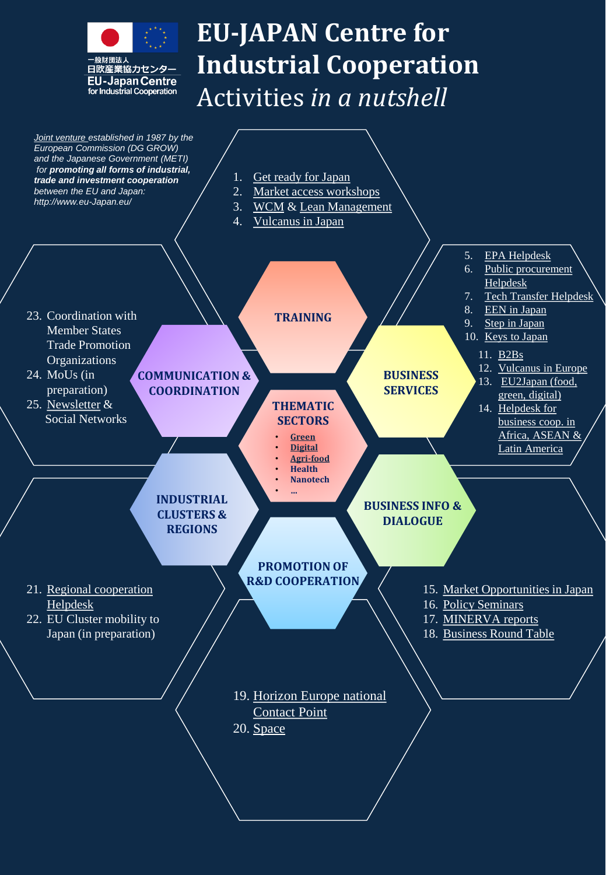

## **EU-JAPAN Centre for Industrial Cooperation** Activities *in a nutshell*